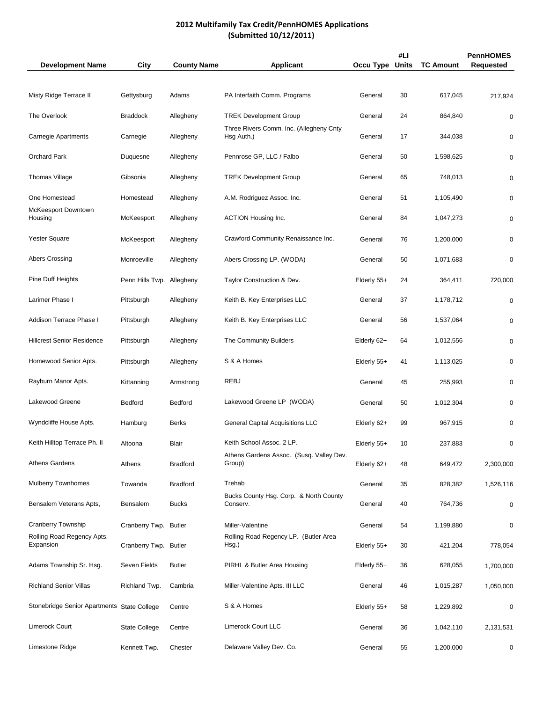# **2012 Multifamily Tax Credit/PennHOMES Applications (Submitted 10/12/2011)**

| <b>Development Name</b>                     | <b>City</b>           | <b>County Name</b> | <b>Applicant</b>                                      | Occu Type   | #LI<br><b>Units</b> | <b>TC Amount</b> | <b>PennHOMES</b><br><b>Requested</b> |
|---------------------------------------------|-----------------------|--------------------|-------------------------------------------------------|-------------|---------------------|------------------|--------------------------------------|
|                                             |                       |                    |                                                       |             |                     |                  |                                      |
| Misty Ridge Terrace II                      | Gettysburg            | Adams              | PA Interfaith Comm. Programs                          | General     | 30                  | 617,045          | 217,924                              |
| The Overlook                                | <b>Braddock</b>       | Allegheny          | <b>TREK Development Group</b>                         | General     | 24                  | 864,840          | 0                                    |
| <b>Carnegie Apartments</b>                  | Carnegie              | Allegheny          | Three Rivers Comm. Inc. (Allegheny Cnty<br>Hsg Auth.) | General     | 17                  | 344,038          | 0                                    |
| <b>Orchard Park</b>                         | Duquesne              | Allegheny          | Pennrose GP, LLC / Falbo                              | General     | 50                  | 1,598,625        | 0                                    |
| Thomas Village                              | Gibsonia              | Allegheny          | <b>TREK Development Group</b>                         | General     | 65                  | 748,013          | 0                                    |
| One Homestead                               | Homestead             | Allegheny          | A.M. Rodriguez Assoc. Inc.                            | General     | 51                  | 1,105,490        | 0                                    |
| McKeesport Downtown<br>Housing              | McKeesport            | Allegheny          | <b>ACTION Housing Inc.</b>                            | General     | 84                  | 1,047,273        | 0                                    |
| Yester Square                               | McKeesport            | Allegheny          | Crawford Community Renaissance Inc.                   | General     | 76                  | 1,200,000        | 0                                    |
| <b>Abers Crossing</b>                       | Monroeville           | Allegheny          | Abers Crossing LP. (WODA)                             | General     | 50                  | 1,071,683        | 0                                    |
| Pine Duff Heights                           | Penn Hills Twp.       | Allegheny          | Taylor Construction & Dev.                            | Elderly 55+ | 24                  | 364,411          | 720,000                              |
| Larimer Phase I                             | Pittsburgh            | Allegheny          | Keith B. Key Enterprises LLC                          | General     | 37                  | 1,178,712        | 0                                    |
| Addison Terrace Phase I                     | Pittsburgh            | Allegheny          | Keith B. Key Enterprises LLC                          | General     | 56                  | 1,537,064        | 0                                    |
| <b>Hillcrest Senior Residence</b>           | Pittsburgh            | Allegheny          | The Community Builders                                | Elderly 62+ | 64                  | 1,012,556        | 0                                    |
| Homewood Senior Apts.                       | Pittsburgh            | Allegheny          | S & A Homes                                           | Elderly 55+ | 41                  | 1,113,025        | 0                                    |
| Rayburn Manor Apts.                         | Kittanning            | Armstrong          | <b>REBJ</b>                                           | General     | 45                  | 255,993          | 0                                    |
| Lakewood Greene                             | Bedford               | Bedford            | Lakewood Greene LP (WODA)                             | General     | 50                  | 1,012,304        | 0                                    |
| Wyndcliffe House Apts.                      | Hamburg               | <b>Berks</b>       | <b>General Capital Acquisitions LLC</b>               | Elderly 62+ | 99                  | 967,915          | 0                                    |
| Keith Hilltop Terrace Ph. II                | Altoona               | <b>Blair</b>       | Keith School Assoc. 2 LP.                             | Elderly 55+ | 10                  | 237,883          | 0                                    |
| <b>Athens Gardens</b>                       | Athens                | <b>Bradford</b>    | Athens Gardens Assoc. (Susq. Valley Dev.<br>Group)    | Elderly 62+ | 48                  | 649,472          | 2,300,000                            |
| <b>Mulberry Townhomes</b>                   | Towanda               | <b>Bradford</b>    | Trehab                                                | General     | 35                  | 828,382          | 1,526,116                            |
| Bensalem Veterans Apts,                     | <b>Bensalem</b>       | <b>Bucks</b>       | Bucks County Hsg. Corp. & North County<br>Conserv.    | General     | 40                  | 764,736          | 0                                    |
| Cranberry Township                          | Cranberry Twp. Butler |                    | Miller-Valentine                                      | General     | 54                  | 1,199,880        | 0                                    |
| Rolling Road Regency Apts.<br>Expansion     | Cranberry Twp. Butler |                    | Rolling Road Regency LP. (Butler Area<br>Hsg.)        | Elderly 55+ | 30                  | 421,204          | 778,054                              |
| Adams Township Sr. Hsg.                     | Seven Fields          | <b>Butler</b>      | PIRHL & Butler Area Housing                           | Elderly 55+ | 36                  | 628,055          | 1,700,000                            |
| <b>Richland Senior Villas</b>               | Richland Twp.         | Cambria            | Miller-Valentine Apts. III LLC                        | General     | 46                  | 1,015,287        | 1,050,000                            |
| Stonebridge Senior Apartments State College |                       | Centre             | S & A Homes                                           | Elderly 55+ | 58                  | 1,229,892        | 0                                    |
| Limerock Court                              | <b>State College</b>  | Centre             | Limerock Court LLC                                    | General     | 36                  | 1,042,110        | 2,131,531                            |
| Limestone Ridge                             | Kennett Twp.          | Chester            | Delaware Valley Dev. Co.                              | General     | 55                  | 1,200,000        | 0                                    |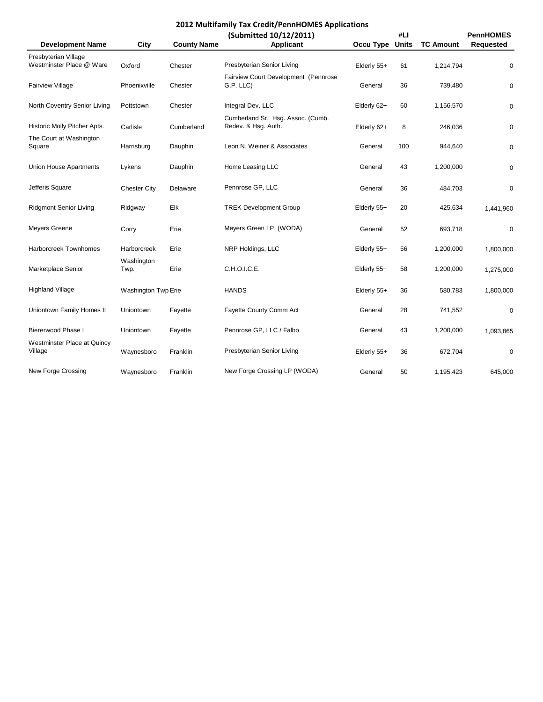| <b>Development Name</b>                | City                | <b>County Name</b> | (Submitted 10/12/2011)<br><b>Applicant</b>               | Occu Type     | #LI<br><b>Units</b> | <b>TC Amount</b> | <b>PennHOMES</b><br><b>Requested</b> |
|----------------------------------------|---------------------|--------------------|----------------------------------------------------------|---------------|---------------------|------------------|--------------------------------------|
| Presbyterian Village                   |                     |                    |                                                          |               |                     |                  |                                      |
| Westminster Place @ Ware               | Oxford              | Chester            | Presbyterian Senior Living                               | Elderly 55+   | 61                  | 1,214,794        | $\pmb{0}$                            |
| Fairview Village                       | Phoenixville        | Chester            | Fairview Court Development (Pennrose<br>G.P. LLC)        | General       | 36                  | 739,480          | $\pmb{0}$                            |
| North Coventry Senior Living           | Pottstown           | Chester            | Integral Dev. LLC                                        | Elderly 62+   | 60                  | 1,156,570        | $\pmb{0}$                            |
| Historic Molly Pitcher Apts.           | Carlisle            | Cumberland         | Cumberland Sr. Hsg. Assoc. (Cumb.<br>Redev. & Hsg. Auth. | Elderly 62+   | 8                   | 246,036          | $\pmb{0}$                            |
| The Court at Washington<br>Square      | Harrisburg          | Dauphin            | Leon N. Weiner & Associates                              | General       | 100                 | 944,640          | 0                                    |
| <b>Union House Apartments</b>          | Lykens              | Dauphin            | Home Leasing LLC                                         | General       | 43                  | 1,200,000        | $\pmb{0}$                            |
| Jefferis Square                        | <b>Chester City</b> | Delaware           | Pennrose GP, LLC                                         | General       | 36                  | 484,703          | $\mathbf 0$                          |
| <b>Ridgmont Senior Living</b>          | Ridgway             | Elk                | <b>TREK Development Group</b>                            | Elderly 55+   | 20                  | 425,634          | 1,441,960                            |
| <b>Meyers Greene</b>                   | Corry               | Erie               | Meyers Green LP. (WODA)                                  | General       | 52                  | 693,718          | 0                                    |
| <b>Harborcreek Townhomes</b>           | <b>Harborcreek</b>  | Erie               | NRP Holdings, LLC                                        | Elderly 55+   | 56                  | 1,200,000        | 1,800,000                            |
| Marketplace Senior                     | Washington<br>Twp.  | Erie               | C.H.O.I.C.E.                                             | Elderly 55+   | 58                  | 1,200,000        | 1,275,000                            |
| <b>Highland Village</b>                | Washington Twp Erie |                    | <b>HANDS</b>                                             | Elderly 55+   | 36                  | 580,783          | 1,800,000                            |
| Uniontown Family Homes II              | Uniontown           | Fayette            | Fayette County Comm Act                                  | General       | 28                  | 741,552          | $\pmb{0}$                            |
| <b>Biererwood Phase I</b>              | Uniontown           | Fayette            | Pennrose GP, LLC / Falbo                                 | General       | 43                  | 1,200,000        | 1,093,865                            |
| Westminster Place at Quincy<br>Village | Waynesboro          | Franklin           | Presbyterian Senior Living                               | Elderly $55+$ | 36                  | 672,704          | 0                                    |
| New Forge Crossing                     | Waynesboro          | Franklin           | New Forge Crossing LP (WODA)                             | General       | 50                  | 1,195,423        | 645,000                              |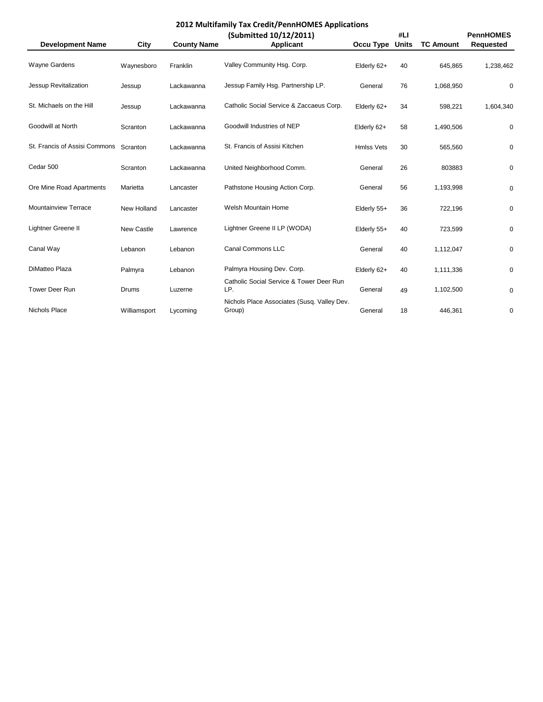| <b>Development Name</b>       | <b>City</b>  | <b>County Name</b> | (Submitted 10/12/2011)<br><b>Applicant</b>            | Occu Type         | #LI<br><b>Units</b> | <b>TC Amount</b> | <b>PennHOMES</b><br><b>Requested</b> |
|-------------------------------|--------------|--------------------|-------------------------------------------------------|-------------------|---------------------|------------------|--------------------------------------|
| Wayne Gardens                 | Waynesboro   | Franklin           | Valley Community Hsg. Corp.                           | Elderly 62+       | 40                  | 645,865          | 1,238,462                            |
| Jessup Revitalization         | Jessup       | Lackawanna         | Jessup Family Hsg. Partnership LP.                    | General           | 76                  | 1,068,950        | 0                                    |
| St. Michaels on the Hill      | Jessup       | Lackawanna         | Catholic Social Service & Zaccaeus Corp.              | Elderly 62+       | 34                  | 598,221          | 1,604,340                            |
| Goodwill at North             | Scranton     | Lackawanna         | Goodwill Industries of NEP                            | Elderly 62+       | 58                  | 1,490,506        | 0                                    |
| St. Francis of Assisi Commons | Scranton     | Lackawanna         | St. Francis of Assisi Kitchen                         | <b>Hmlss Vets</b> | 30                  | 565,560          | 0                                    |
| Cedar 500                     | Scranton     | Lackawanna         | United Neighborhood Comm.                             | General           | 26                  | 803883           | 0                                    |
| Ore Mine Road Apartments      | Marietta     | Lancaster          | Pathstone Housing Action Corp.                        | General           | 56                  | 1,193,998        | 0                                    |
| Mountainview Terrace          | New Holland  | Lancaster          | Welsh Mountain Home                                   | Elderly 55+       | 36                  | 722,196          | 0                                    |
| Lightner Greene II            | New Castle   | Lawrence           | Lightner Greene II LP (WODA)                          | Elderly 55+       | 40                  | 723,599          | 0                                    |
| Canal Way                     | Lebanon      | Lebanon            | Canal Commons LLC                                     | General           | 40                  | 1,112,047        | 0                                    |
| DiMatteo Plaza                | Palmyra      | Lebanon            | Palmyra Housing Dev. Corp.                            | Elderly 62+       | 40                  | 1,111,336        | 0                                    |
| <b>Tower Deer Run</b>         | Drums        | Luzerne            | Catholic Social Service & Tower Deer Run<br>LP.       | General           | 49                  | 1,102,500        | $\pmb{0}$                            |
| Nichols Place                 | Williamsport | Lycoming           | Nichols Place Associates (Susq. Valley Dev.<br>Group) | General           | 18                  | 446,361          | $\pmb{0}$                            |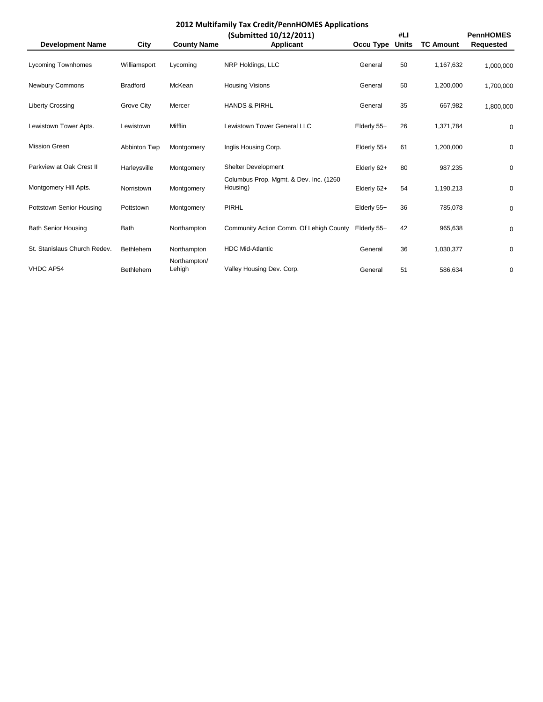| <b>Development Name</b>      | <b>City</b>      | <b>County Name</b>     | (Submitted 10/12/2011)<br><b>Applicant</b>         | Occu Type   | #LI<br><b>Units</b> | <b>TC Amount</b> | <b>PennHOMES</b><br><b>Requested</b> |
|------------------------------|------------------|------------------------|----------------------------------------------------|-------------|---------------------|------------------|--------------------------------------|
| <b>Lycoming Townhomes</b>    | Williamsport     | Lycoming               | NRP Holdings, LLC                                  | General     | 50                  | 1,167,632        | 1,000,000                            |
| Newbury Commons              | <b>Bradford</b>  | McKean                 | <b>Housing Visions</b>                             | General     | 50                  | 1,200,000        | 1,700,000                            |
| <b>Liberty Crossing</b>      | Grove City       | Mercer                 | <b>HANDS &amp; PIRHL</b>                           | General     | 35                  | 667,982          | 1,800,000                            |
| Lewistown Tower Apts.        | Lewistown        | Mifflin                | Lewistown Tower General LLC                        | Elderly 55+ | 26                  | 1,371,784        | 0                                    |
| <b>Mission Green</b>         | Abbinton Twp     | Montgomery             | Inglis Housing Corp.                               | Elderly 55+ | 61                  | 1,200,000        | $\pmb{0}$                            |
| Parkview at Oak Crest II     | Harleysville     | Montgomery             | <b>Shelter Development</b>                         | Elderly 62+ | 80                  | 987,235          | 0                                    |
| Montgomery Hill Apts.        | Norristown       | Montgomery             | Columbus Prop. Mgmt. & Dev. Inc. (1260<br>Housing) | Elderly 62+ | 54                  | 1,190,213        | 0                                    |
| Pottstown Senior Housing     | Pottstown        | Montgomery             | <b>PIRHL</b>                                       | Elderly 55+ | 36                  | 785,078          | 0                                    |
| <b>Bath Senior Housing</b>   | Bath             | Northampton            | Community Action Comm. Of Lehigh County            | Elderly 55+ | 42                  | 965,638          | 0                                    |
| St. Stanislaus Church Redev. | <b>Bethlehem</b> | Northampton            | <b>HDC Mid-Atlantic</b>                            | General     | 36                  | 1,030,377        | 0                                    |
| <b>VHDC AP54</b>             | Bethlehem        | Northampton/<br>Lehigh | Valley Housing Dev. Corp.                          | General     | 51                  | 586,634          | 0                                    |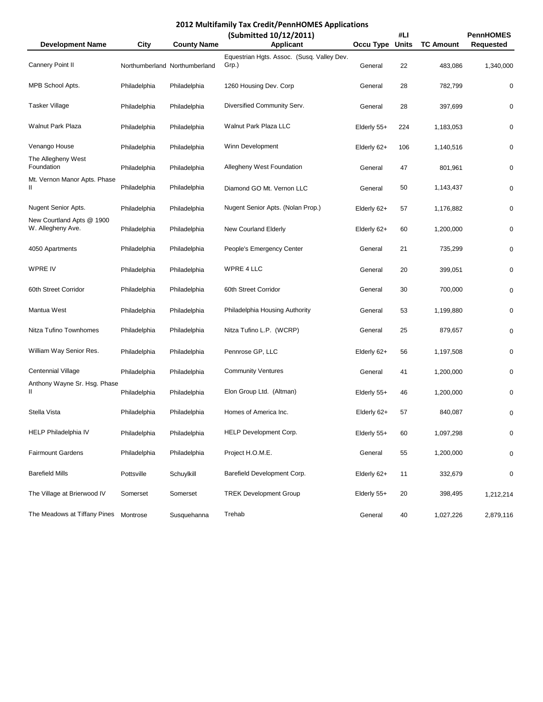|                                                |              |                               | (Submitted 10/12/2011)                              |             | #LI          |                  | <b>PennHOMES</b> |
|------------------------------------------------|--------------|-------------------------------|-----------------------------------------------------|-------------|--------------|------------------|------------------|
| <b>Development Name</b>                        | <b>City</b>  | <b>County Name</b>            | <b>Applicant</b>                                    | Occu Type   | <b>Units</b> | <b>TC Amount</b> | <b>Requested</b> |
| Cannery Point II                               |              | Northumberland Northumberland | Equestrian Hgts. Assoc. (Susq. Valley Dev.<br>Grp.) | General     | 22           | 483,086          | 1,340,000        |
| MPB School Apts.                               | Philadelphia | Philadelphia                  | 1260 Housing Dev. Corp                              | General     | 28           | 782,799          | 0                |
| <b>Tasker Village</b>                          | Philadelphia | Philadelphia                  | Diversified Community Serv.                         | General     | 28           | 397,699          | 0                |
| <b>Walnut Park Plaza</b>                       | Philadelphia | Philadelphia                  | Walnut Park Plaza LLC                               | Elderly 55+ | 224          | 1,183,053        | 0                |
| Venango House                                  | Philadelphia | Philadelphia                  | Winn Development                                    | Elderly 62+ | 106          | 1,140,516        | 0                |
| The Allegheny West<br>Foundation               | Philadelphia | Philadelphia                  | Allegheny West Foundation                           | General     | 47           | 801,961          | 0                |
| Mt. Vernon Manor Apts. Phase<br>Ш              | Philadelphia | Philadelphia                  | Diamond GO Mt. Vernon LLC                           | General     | 50           | 1,143,437        | 0                |
| Nugent Senior Apts.                            | Philadelphia | Philadelphia                  | Nugent Senior Apts. (Nolan Prop.)                   | Elderly 62+ | 57           | 1,176,882        | 0                |
| New Courtland Apts @ 1900<br>W. Allegheny Ave. | Philadelphia | Philadelphia                  | New Courland Elderly                                | Elderly 62+ | 60           | 1,200,000        | 0                |
| 4050 Apartments                                | Philadelphia | Philadelphia                  | People's Emergency Center                           | General     | 21           | 735,299          | 0                |
| <b>WPRE IV</b>                                 | Philadelphia | Philadelphia                  | <b>WPRE 4 LLC</b>                                   | General     | 20           | 399,051          | 0                |
| 60th Street Corridor                           | Philadelphia | Philadelphia                  | 60th Street Corridor                                | General     | 30           | 700,000          | 0                |
| Mantua West                                    | Philadelphia | Philadelphia                  | Philadelphia Housing Authority                      | General     | 53           | 1,199,880        | 0                |
| Nitza Tufino Townhomes                         | Philadelphia | Philadelphia                  | Nitza Tufino L.P. (WCRP)                            | General     | 25           | 879,657          | 0                |
| William Way Senior Res.                        | Philadelphia | Philadelphia                  | Pennrose GP, LLC                                    | Elderly 62+ | 56           | 1,197,508        | 0                |
| Centennial Village                             | Philadelphia | Philadelphia                  | <b>Community Ventures</b>                           | General     | 41           | 1,200,000        | 0                |
| Anthony Wayne Sr. Hsg. Phase<br>Ш              | Philadelphia | Philadelphia                  | Elon Group Ltd. (Altman)                            | Elderly 55+ | 46           | 1,200,000        | 0                |
| Stella Vista                                   | Philadelphia | Philadelphia                  | Homes of America Inc.                               | Elderly 62+ | 57           | 840,087          | 0                |
| HELP Philadelphia IV                           | Philadelphia | Philadelphia                  | HELP Development Corp.                              | Elderly 55+ | 60           | 1,097,298        | 0                |
| <b>Fairmount Gardens</b>                       | Philadelphia | Philadelphia                  | Project H.O.M.E.                                    | General     | 55           | 1,200,000        | 0                |
| <b>Barefield Mills</b>                         | Pottsville   | Schuylkill                    | Barefield Development Corp.                         | Elderly 62+ | 11           | 332,679          | 0                |
| The Village at Brierwood IV                    | Somerset     | Somerset                      | <b>TREK Development Group</b>                       | Elderly 55+ | 20           | 398,495          | 1,212,214        |
| The Meadows at Tiffany Pines                   | Montrose     | Susquehanna                   | Trehab                                              | General     | 40           | 1,027,226        | 2,879,116        |